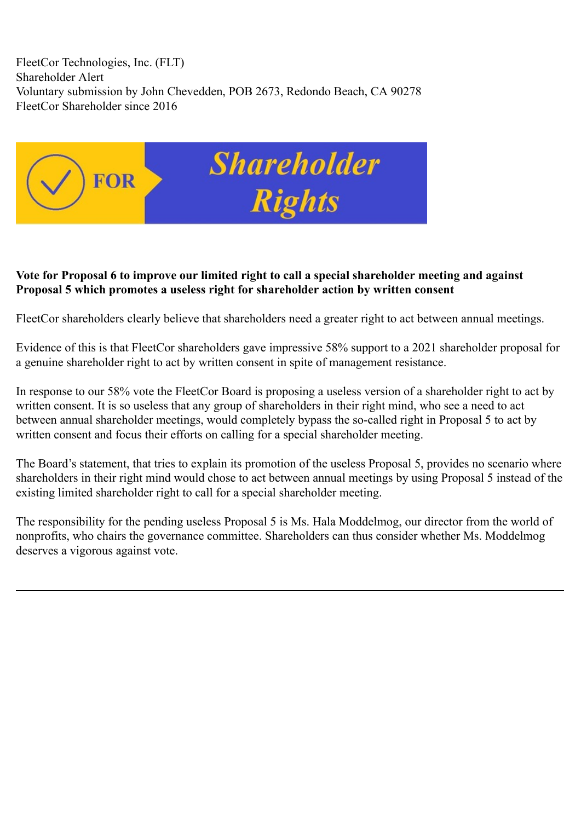FleetCor Technologies, Inc. (FLT) Shareholder Alert Voluntary submission by John Chevedden, POB 2673, Redondo Beach, CA 90278 FleetCor Shareholder since 2016



## **Vote for Proposal 6 to improve our limited right to call a special shareholder meeting and against Proposal 5 which promotes a useless right for shareholder action by written consent**

FleetCor shareholders clearly believe that shareholders need a greater right to act between annual meetings.

Evidence of this is that FleetCor shareholders gave impressive 58% support to a 2021 shareholder proposal for a genuine shareholder right to act by written consent in spite of management resistance.

In response to our 58% vote the FleetCor Board is proposing a useless version of a shareholder right to act by written consent. It is so useless that any group of shareholders in their right mind, who see a need to act between annual shareholder meetings, would completely bypass the so-called right in Proposal 5 to act by written consent and focus their efforts on calling for a special shareholder meeting.

The Board's statement, that tries to explain its promotion of the useless Proposal 5, provides no scenario where shareholders in their right mind would chose to act between annual meetings by using Proposal 5 instead of the existing limited shareholder right to call for a special shareholder meeting.

The responsibility for the pending useless Proposal 5 is Ms. Hala Moddelmog, our director from the world of nonprofits, who chairs the governance committee. Shareholders can thus consider whether Ms. Moddelmog deserves a vigorous against vote.